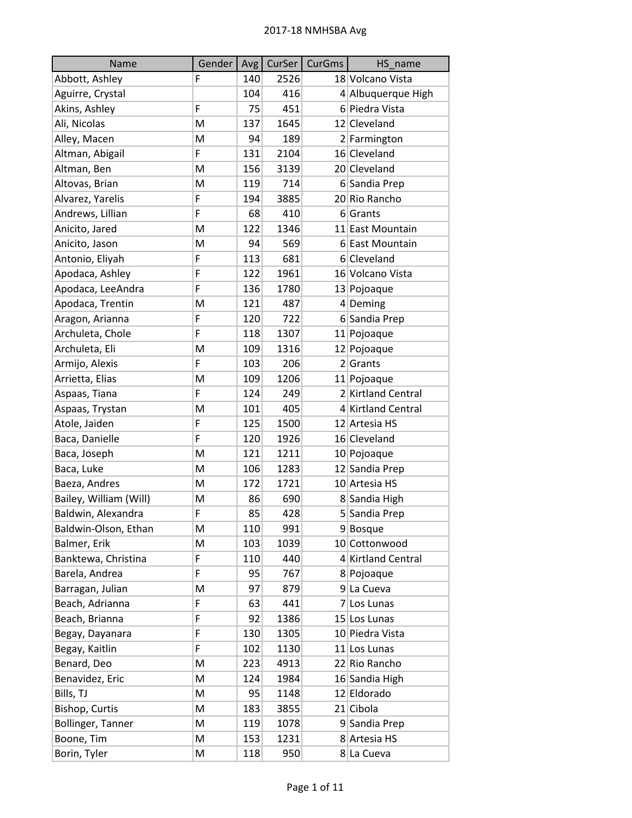| Name                   | Gender | Avg | CurSer | <b>CurGms</b> | HS name            |
|------------------------|--------|-----|--------|---------------|--------------------|
| Abbott, Ashley         | F      | 140 | 2526   |               | 18 Volcano Vista   |
| Aguirre, Crystal       |        | 104 | 416    |               | 4 Albuquerque High |
| Akins, Ashley          | F      | 75  | 451    |               | 6 Piedra Vista     |
| Ali, Nicolas           | M      | 137 | 1645   |               | 12 Cleveland       |
| Alley, Macen           | м      | 94  | 189    |               | 2 Farmington       |
| Altman, Abigail        | F      | 131 | 2104   |               | 16 Cleveland       |
| Altman, Ben            | M      | 156 | 3139   |               | 20 Cleveland       |
| Altovas, Brian         | M      | 119 | 714    |               | 6 Sandia Prep      |
| Alvarez, Yarelis       | F      | 194 | 3885   |               | 20 Rio Rancho      |
| Andrews, Lillian       | F      | 68  | 410    |               | 6 Grants           |
| Anicito, Jared         | M      | 122 | 1346   |               | 11 East Mountain   |
| Anicito, Jason         | M      | 94  | 569    |               | 6 East Mountain    |
| Antonio, Eliyah        | F      | 113 | 681    |               | 6 Cleveland        |
| Apodaca, Ashley        | F      | 122 | 1961   |               | 16 Volcano Vista   |
| Apodaca, LeeAndra      | F      | 136 | 1780   |               | 13 Pojoaque        |
| Apodaca, Trentin       | M      | 121 | 487    |               | $4$ Deming         |
| Aragon, Arianna        | F      | 120 | 722    |               | 6 Sandia Prep      |
| Archuleta, Chole       | F      | 118 | 1307   |               | 11 Pojoaque        |
| Archuleta, Eli         | M      | 109 | 1316   |               | 12 Pojoaque        |
| Armijo, Alexis         | F      | 103 | 206    |               | 2 Grants           |
| Arrietta, Elias        | M      | 109 | 1206   |               | 11 Pojoaque        |
| Aspaas, Tiana          | F      | 124 | 249    |               | 2 Kirtland Central |
| Aspaas, Trystan        | M      | 101 | 405    |               | 4 Kirtland Central |
| Atole, Jaiden          | F      | 125 | 1500   |               | 12 Artesia HS      |
| Baca, Danielle         | F      | 120 | 1926   |               | 16 Cleveland       |
| Baca, Joseph           | M      | 121 | 1211   |               | 10 Pojoaque        |
| Baca, Luke             | M      | 106 | 1283   |               | 12 Sandia Prep     |
| Baeza, Andres          | M      | 172 | 1721   |               | 10 Artesia HS      |
| Bailey, William (Will) | M      | 86  | 690    |               | 8 Sandia High      |
| Baldwin, Alexandra     | F      | 85  | 428    |               | 5 Sandia Prep      |
| Baldwin-Olson, Ethan   | м      | 110 | 991    |               | 9Bosque            |
| Balmer, Erik           | M      | 103 | 1039   |               | 10 Cottonwood      |
| Banktewa, Christina    | F      | 110 | 440    |               | 4 Kirtland Central |
| Barela, Andrea         | F      | 95  | 767    |               | 8 Pojoaque         |
| Barragan, Julian       | M      | 97  | 879    |               | 9 La Cueva         |
| Beach, Adrianna        | F      | 63  | 441    |               | 7 Los Lunas        |
| Beach, Brianna         | F      | 92  | 1386   |               | 15 Los Lunas       |
| Begay, Dayanara        | F      | 130 | 1305   |               | 10 Piedra Vista    |
| Begay, Kaitlin         | F      | 102 | 1130   |               | 11 Los Lunas       |
| Benard, Deo            | M      | 223 | 4913   |               | 22 Rio Rancho      |
| Benavidez, Eric        | M      | 124 | 1984   |               | 16 Sandia High     |
| Bills, TJ              | M      | 95  | 1148   |               | 12 Eldorado        |
| Bishop, Curtis         | M      | 183 | 3855   |               | 21 Cibola          |
| Bollinger, Tanner      | M      | 119 | 1078   |               | 9 Sandia Prep      |
| Boone, Tim             | M      | 153 | 1231   |               | 8 Artesia HS       |
| Borin, Tyler           | M      | 118 | 950    |               | 8 La Cueva         |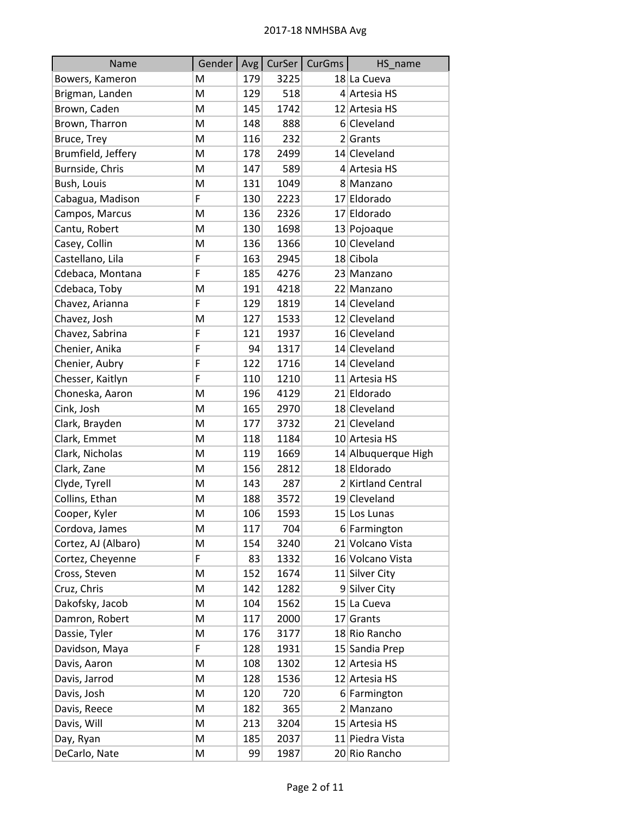| Name                | Gender | Avg <sub>l</sub> | CurSer | CurGms | HS_name             |
|---------------------|--------|------------------|--------|--------|---------------------|
| Bowers, Kameron     | M      | 179              | 3225   |        | 18 La Cueva         |
| Brigman, Landen     | M      | 129              | 518    |        | 4 Artesia HS        |
| Brown, Caden        | M      | 145              | 1742   |        | 12 Artesia HS       |
| Brown, Tharron      | M      | 148              | 888    |        | 6 Cleveland         |
| Bruce, Trey         | M      | 116              | 232    |        | 2 Grants            |
| Brumfield, Jeffery  | M      | 178              | 2499   |        | 14 Cleveland        |
| Burnside, Chris     | M      | 147              | 589    |        | 4 Artesia HS        |
| Bush, Louis         | M      | 131              | 1049   |        | 8 Manzano           |
| Cabagua, Madison    | F      | 130              | 2223   |        | 17 Eldorado         |
| Campos, Marcus      | M      | 136              | 2326   |        | 17 Eldorado         |
| Cantu, Robert       | M      | 130              | 1698   |        | 13 Pojoaque         |
| Casey, Collin       | M      | 136              | 1366   |        | 10 Cleveland        |
| Castellano, Lila    | F      | 163              | 2945   |        | 18 Cibola           |
| Cdebaca, Montana    | F      | 185              | 4276   |        | 23 Manzano          |
| Cdebaca, Toby       | M      | 191              | 4218   |        | 22 Manzano          |
| Chavez, Arianna     | F      | 129              | 1819   |        | 14 Cleveland        |
| Chavez, Josh        | M      | 127              | 1533   |        | 12 Cleveland        |
| Chavez, Sabrina     | F      | 121              | 1937   |        | 16 Cleveland        |
| Chenier, Anika      | F      | 94               | 1317   |        | 14 Cleveland        |
| Chenier, Aubry      | F      | 122              | 1716   |        | 14 Cleveland        |
| Chesser, Kaitlyn    | F      | 110              | 1210   |        | 11 Artesia HS       |
| Choneska, Aaron     | M      | 196              | 4129   |        | 21 Eldorado         |
| Cink, Josh          | M      | 165              | 2970   |        | 18 Cleveland        |
| Clark, Brayden      | M      | 177              | 3732   |        | 21 Cleveland        |
| Clark, Emmet        | M      | 118              | 1184   |        | 10 Artesia HS       |
| Clark, Nicholas     | M      | 119              | 1669   |        | 14 Albuquerque High |
| Clark, Zane         | M      | 156              | 2812   |        | 18 Eldorado         |
| Clyde, Tyrell       | M      | 143              | 287    |        | 2 Kirtland Central  |
| Collins, Ethan      | M      | 188              | 3572   |        | 19 Cleveland        |
| Cooper, Kyler       | M      | 106              | 1593   |        | 15 Los Lunas        |
| Cordova, James      | M      | 117              | 704    |        | 6 Farmington        |
| Cortez, AJ (Albaro) | M      | 154              | 3240   |        | 21 Volcano Vista    |
| Cortez, Cheyenne    | F      | 83               | 1332   |        | 16 Volcano Vista    |
| Cross, Steven       | M      | 152              | 1674   |        | 11 Silver City      |
| Cruz, Chris         | M      | 142              | 1282   |        | 9 Silver City       |
| Dakofsky, Jacob     | M      | 104              | 1562   |        | 15 La Cueva         |
| Damron, Robert      | M      | 117              | 2000   |        | $17$ Grants         |
| Dassie, Tyler       | M      | 176              | 3177   |        | 18 Rio Rancho       |
| Davidson, Maya      | F      | 128              | 1931   |        | 15 Sandia Prep      |
| Davis, Aaron        | M      | 108              | 1302   |        | 12 Artesia HS       |
| Davis, Jarrod       | M      | 128              | 1536   |        | 12 Artesia HS       |
| Davis, Josh         | M      | 120              | 720    |        | 6 Farmington        |
| Davis, Reece        | M      | 182              | 365    |        | 2 Manzano           |
| Davis, Will         | M      | 213              | 3204   |        | 15 Artesia HS       |
| Day, Ryan           | M      | 185              | 2037   |        | 11 Piedra Vista     |
| DeCarlo, Nate       | M      | 99               | 1987   |        | 20 Rio Rancho       |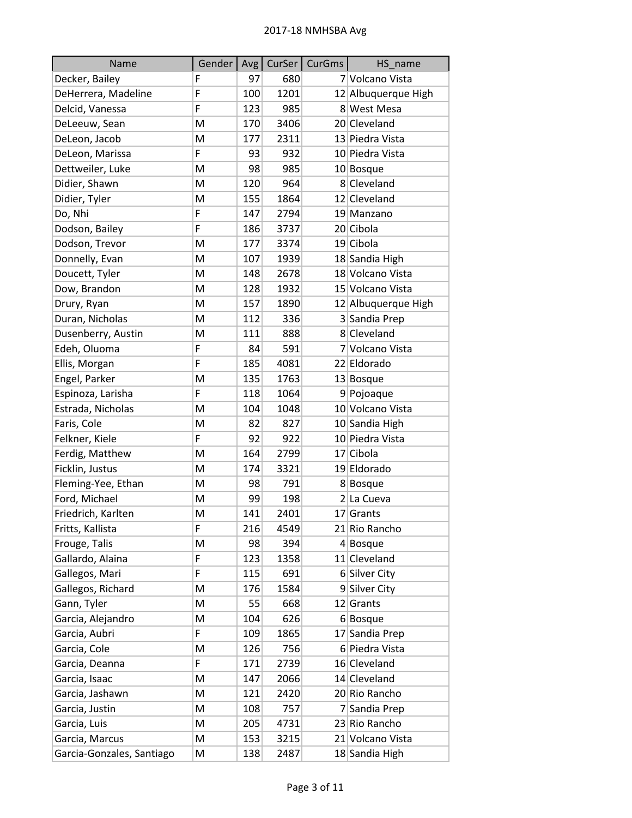| Name                      | Gender   Avg |     |      | CurSer   CurGms | HS_name             |
|---------------------------|--------------|-----|------|-----------------|---------------------|
| Decker, Bailey            | F            | 97  | 680  |                 | 7 Volcano Vista     |
| DeHerrera, Madeline       | F            | 100 | 1201 |                 | 12 Albuquerque High |
| Delcid, Vanessa           | F            | 123 | 985  |                 | 8 West Mesa         |
| DeLeeuw, Sean             | M            | 170 | 3406 |                 | 20 Cleveland        |
| DeLeon, Jacob             | M            | 177 | 2311 |                 | 13 Piedra Vista     |
| DeLeon, Marissa           | F            | 93  | 932  |                 | 10 Piedra Vista     |
| Dettweiler, Luke          | M            | 98  | 985  |                 | 10 Bosque           |
| Didier, Shawn             | M            | 120 | 964  |                 | 8 Cleveland         |
| Didier, Tyler             | M            | 155 | 1864 |                 | 12 Cleveland        |
| Do, Nhi                   | F            | 147 | 2794 |                 | 19 Manzano          |
| Dodson, Bailey            | F            | 186 | 3737 |                 | 20 Cibola           |
| Dodson, Trevor            | M            | 177 | 3374 |                 | 19 Cibola           |
| Donnelly, Evan            | M            | 107 | 1939 |                 | 18 Sandia High      |
| Doucett, Tyler            | M            | 148 | 2678 |                 | 18 Volcano Vista    |
| Dow, Brandon              | M            | 128 | 1932 |                 | 15 Volcano Vista    |
| Drury, Ryan               | M            | 157 | 1890 |                 | 12 Albuquerque High |
| Duran, Nicholas           | M            | 112 | 336  |                 | 3 Sandia Prep       |
| Dusenberry, Austin        | M            | 111 | 888  |                 | 8 Cleveland         |
| Edeh, Oluoma              | F            | 84  | 591  |                 | 7 Volcano Vista     |
| Ellis, Morgan             | F            | 185 | 4081 |                 | 22 Eldorado         |
| Engel, Parker             | M            | 135 | 1763 |                 | 13 Bosque           |
| Espinoza, Larisha         | F            | 118 | 1064 |                 | 9 Pojoaque          |
| Estrada, Nicholas         | M            | 104 | 1048 |                 | 10 Volcano Vista    |
| Faris, Cole               | M            | 82  | 827  |                 | 10 Sandia High      |
| Felkner, Kiele            | F            | 92  | 922  |                 | 10 Piedra Vista     |
| Ferdig, Matthew           | M            | 164 | 2799 |                 | 17 Cibola           |
| Ficklin, Justus           | M            | 174 | 3321 |                 | 19 Eldorado         |
| Fleming-Yee, Ethan        | M            | 98  | 791  |                 | 8 Bosque            |
| Ford, Michael             | M            | 99  | 198  |                 | 2 La Cueva          |
| Friedrich, Karlten        | M            | 141 | 2401 |                 | $17$ Grants         |
| Fritts, Kallista          | F            | 216 | 4549 |                 | 21 Rio Rancho       |
| Frouge, Talis             | M            | 98  | 394  |                 | $4 $ Bosque         |
| Gallardo, Alaina          | F            | 123 | 1358 |                 | 11 Cleveland        |
| Gallegos, Mari            | F            | 115 | 691  |                 | 6 Silver City       |
| Gallegos, Richard         | M            | 176 | 1584 |                 | 9 Silver City       |
| Gann, Tyler               | Μ            | 55  | 668  |                 | 12 Grants           |
| Garcia, Alejandro         | M            | 104 | 626  |                 | $6 $ Bosque         |
| Garcia, Aubri             | F            | 109 | 1865 |                 | 17 Sandia Prep      |
| Garcia, Cole              | M            | 126 | 756  |                 | 6 Piedra Vista      |
| Garcia, Deanna            | F            | 171 | 2739 |                 | 16 Cleveland        |
| Garcia, Isaac             | M            | 147 | 2066 |                 | 14 Cleveland        |
| Garcia, Jashawn           | M            | 121 | 2420 |                 | 20 Rio Rancho       |
| Garcia, Justin            | Μ            | 108 | 757  |                 | 7 Sandia Prep       |
| Garcia, Luis              | M            | 205 | 4731 |                 | 23 Rio Rancho       |
| Garcia, Marcus            | Μ            | 153 | 3215 |                 | 21 Volcano Vista    |
| Garcia-Gonzales, Santiago | M            | 138 | 2487 |                 | 18 Sandia High      |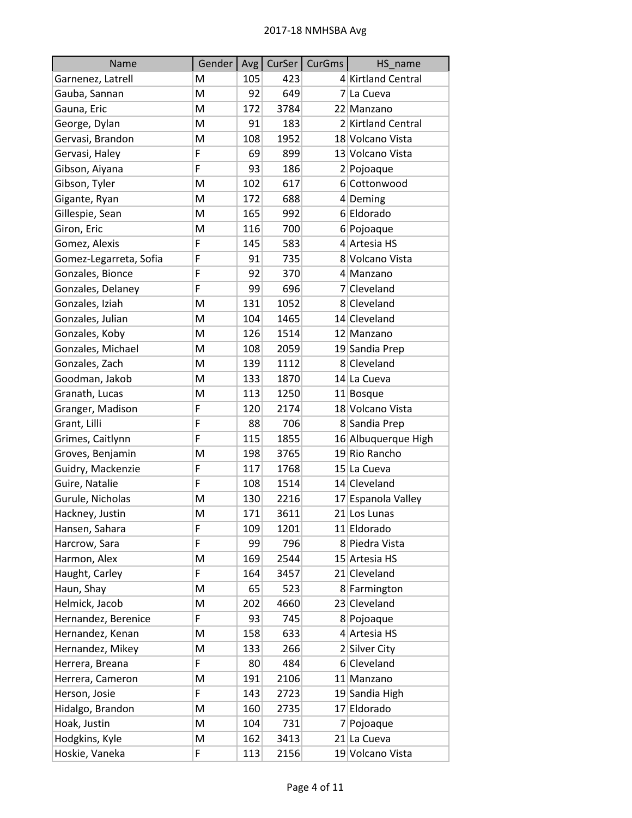| Name                   | Gender | Avg <sub>l</sub> | CurSer | CurGms | HS_name             |
|------------------------|--------|------------------|--------|--------|---------------------|
| Garnenez, Latrell      | M      | 105              | 423    |        | 4 Kirtland Central  |
| Gauba, Sannan          | M      | 92               | 649    |        | 7 La Cueva          |
| Gauna, Eric            | M      | 172              | 3784   |        | 22 Manzano          |
| George, Dylan          | M      | 91               | 183    |        | 2 Kirtland Central  |
| Gervasi, Brandon       | м      | 108              | 1952   |        | 18 Volcano Vista    |
| Gervasi, Haley         | F      | 69               | 899    |        | 13 Volcano Vista    |
| Gibson, Aiyana         | F      | 93               | 186    |        | 2 Pojoaque          |
| Gibson, Tyler          | M      | 102              | 617    |        | 6 Cottonwood        |
| Gigante, Ryan          | M      | 172              | 688    |        | 4 Deming            |
| Gillespie, Sean        | M      | 165              | 992    |        | 6 Eldorado          |
| Giron, Eric            | M      | 116              | 700    |        | 6 Pojoaque          |
| Gomez, Alexis          | F      | 145              | 583    |        | 4 Artesia HS        |
| Gomez-Legarreta, Sofia | F      | 91               | 735    |        | 8 Volcano Vista     |
| Gonzales, Bionce       | F      | 92               | 370    |        | 4 Manzano           |
| Gonzales, Delaney      | F      | 99               | 696    |        | 7 Cleveland         |
| Gonzales, Iziah        | M      | 131              | 1052   |        | 8 Cleveland         |
| Gonzales, Julian       | м      | 104              | 1465   |        | 14 Cleveland        |
| Gonzales, Koby         | M      | 126              | 1514   |        | 12 Manzano          |
| Gonzales, Michael      | м      | 108              | 2059   |        | 19 Sandia Prep      |
| Gonzales, Zach         | M      | 139              | 1112   |        | 8 Cleveland         |
| Goodman, Jakob         | M      | 133              | 1870   |        | 14 La Cueva         |
| Granath, Lucas         | M      | 113              | 1250   |        | 11 Bosque           |
| Granger, Madison       | F      | 120              | 2174   |        | 18 Volcano Vista    |
| Grant, Lilli           | F      | 88               | 706    |        | 8 Sandia Prep       |
| Grimes, Caitlynn       | F      | 115              | 1855   |        | 16 Albuquerque High |
| Groves, Benjamin       | M      | 198              | 3765   |        | 19 Rio Rancho       |
| Guidry, Mackenzie      | F      | 117              | 1768   |        | 15 La Cueva         |
| Guire, Natalie         | F      | 108              | 1514   |        | 14 Cleveland        |
| Gurule, Nicholas       | M      | 130              | 2216   |        | 17 Espanola Valley  |
| Hackney, Justin        | M      | 171              | 3611   |        | 21 Los Lunas        |
| Hansen, Sahara         | F      | 109              | 1201   |        | 11 Eldorado         |
| Harcrow, Sara          | F      | 99               | 796    |        | 8 Piedra Vista      |
| Harmon, Alex           | M      | 169              | 2544   |        | 15 Artesia HS       |
| Haught, Carley         | F      | 164              | 3457   |        | 21 Cleveland        |
| Haun, Shay             | M      | 65               | 523    |        | 8 Farmington        |
| Helmick, Jacob         | M      | 202              | 4660   |        | 23 Cleveland        |
| Hernandez, Berenice    | F      | 93               | 745    |        | 8 Pojoaque          |
| Hernandez, Kenan       | M      | 158              | 633    |        | 4 Artesia HS        |
| Hernandez, Mikey       | M      | 133              | 266    |        | 2 Silver City       |
| Herrera, Breana        | F      | 80               | 484    |        | 6 Cleveland         |
| Herrera, Cameron       | M      | 191              | 2106   |        | 11 Manzano          |
| Herson, Josie          | F      | 143              | 2723   |        | 19 Sandia High      |
| Hidalgo, Brandon       | м      | 160              | 2735   |        | 17 Eldorado         |
| Hoak, Justin           | M      | 104              | 731    |        | 7 Pojoaque          |
| Hodgkins, Kyle         | M      | 162              | 3413   |        | 21 La Cueva         |
| Hoskie, Vaneka         | F      | 113              | 2156   |        | 19 Volcano Vista    |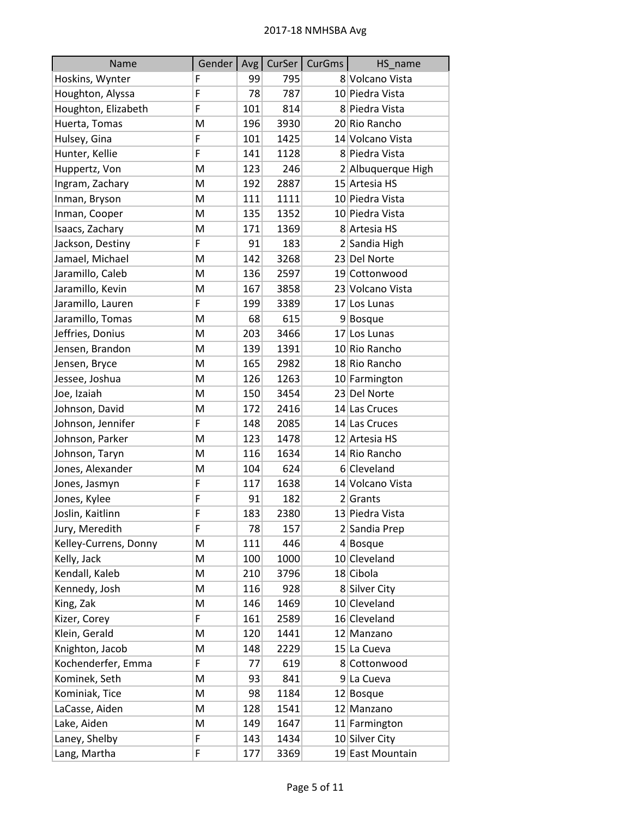| Name                  | Gender   Avg |     |      | CurSer   CurGms | HS_name            |
|-----------------------|--------------|-----|------|-----------------|--------------------|
| Hoskins, Wynter       | F            | 99  | 795  |                 | 8 Volcano Vista    |
| Houghton, Alyssa      | F            | 78  | 787  |                 | 10 Piedra Vista    |
| Houghton, Elizabeth   | F            | 101 | 814  |                 | 8 Piedra Vista     |
| Huerta, Tomas         | M            | 196 | 3930 |                 | 20 Rio Rancho      |
| Hulsey, Gina          | F            | 101 | 1425 |                 | 14 Volcano Vista   |
| Hunter, Kellie        | F            | 141 | 1128 |                 | 8 Piedra Vista     |
| Huppertz, Von         | M            | 123 | 246  |                 | 2 Albuquerque High |
| Ingram, Zachary       | M            | 192 | 2887 |                 | 15 Artesia HS      |
| Inman, Bryson         | M            | 111 | 1111 |                 | 10 Piedra Vista    |
| Inman, Cooper         | M            | 135 | 1352 |                 | 10 Piedra Vista    |
| Isaacs, Zachary       | M            | 171 | 1369 |                 | 8 Artesia HS       |
| Jackson, Destiny      | F            | 91  | 183  |                 | 2 Sandia High      |
| Jamael, Michael       | M            | 142 | 3268 |                 | 23 Del Norte       |
| Jaramillo, Caleb      | M            | 136 | 2597 |                 | 19 Cottonwood      |
| Jaramillo, Kevin      | M            | 167 | 3858 |                 | 23 Volcano Vista   |
| Jaramillo, Lauren     | F            | 199 | 3389 |                 | 17 Los Lunas       |
| Jaramillo, Tomas      | M            | 68  | 615  |                 | 9Bosque            |
| Jeffries, Donius      | M            | 203 | 3466 |                 | 17 Los Lunas       |
| Jensen, Brandon       | M            | 139 | 1391 |                 | 10 Rio Rancho      |
| Jensen, Bryce         | M            | 165 | 2982 |                 | 18 Rio Rancho      |
| Jessee, Joshua        | M            | 126 | 1263 |                 | 10 Farmington      |
| Joe, Izaiah           | M            | 150 | 3454 |                 | 23 Del Norte       |
| Johnson, David        | M            | 172 | 2416 |                 | 14 Las Cruces      |
| Johnson, Jennifer     | F            | 148 | 2085 |                 | 14 Las Cruces      |
| Johnson, Parker       | M            | 123 | 1478 |                 | 12 Artesia HS      |
| Johnson, Taryn        | M            | 116 | 1634 |                 | 14 Rio Rancho      |
| Jones, Alexander      | M            | 104 | 624  |                 | 6 Cleveland        |
| Jones, Jasmyn         | F            | 117 | 1638 |                 | 14 Volcano Vista   |
| Jones, Kylee          | F            | 91  | 182  |                 | 2 Grants           |
| Joslin, Kaitlinn      | F            | 183 | 2380 |                 | 13 Piedra Vista    |
| Jury, Meredith        | F            | 78  | 157  |                 | 2 Sandia Prep      |
| Kelley-Currens, Donny | M            | 111 | 446  |                 | $4 $ Bosque        |
| Kelly, Jack           | M            | 100 | 1000 |                 | 10 Cleveland       |
| Kendall, Kaleb        | M            | 210 | 3796 |                 | 18 Cibola          |
| Kennedy, Josh         | M            | 116 | 928  |                 | 8 Silver City      |
| King, Zak             | M            | 146 | 1469 |                 | 10 Cleveland       |
| Kizer, Corey          | F            | 161 | 2589 |                 | 16 Cleveland       |
| Klein, Gerald         | M            | 120 | 1441 |                 | 12 Manzano         |
| Knighton, Jacob       | M            | 148 | 2229 |                 | 15 La Cueva        |
| Kochenderfer, Emma    | F            | 77  | 619  |                 | 8 Cottonwood       |
| Kominek, Seth         | M            | 93  | 841  |                 | $9$ La Cueva       |
| Kominiak, Tice        | M            | 98  | 1184 |                 | 12 Bosque          |
| LaCasse, Aiden        | Μ            | 128 | 1541 |                 | 12 Manzano         |
| Lake, Aiden           | M            | 149 | 1647 |                 | 11 Farmington      |
| Laney, Shelby         | F            | 143 | 1434 |                 | 10 Silver City     |
| Lang, Martha          | F            | 177 | 3369 |                 | 19 East Mountain   |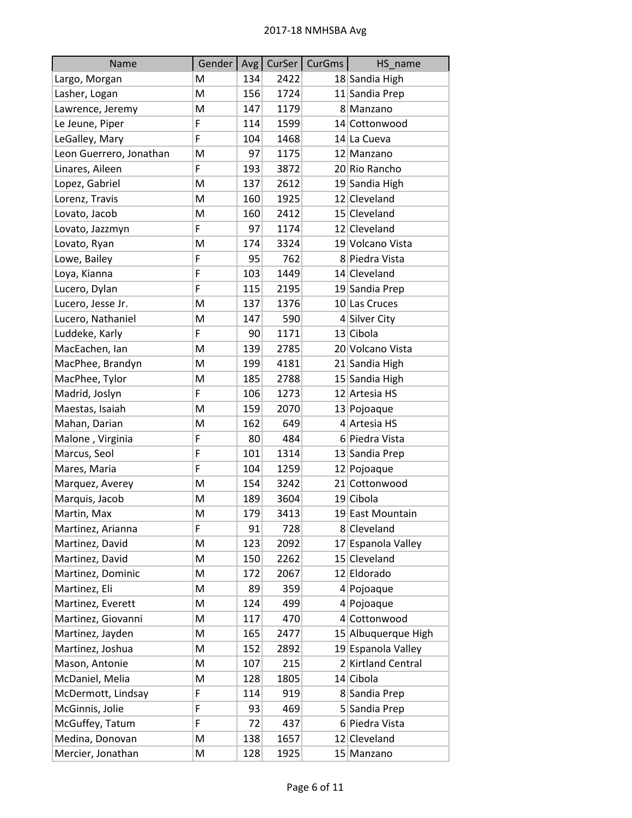| Name                    | Gender |     | Avg   CurSer | CurGms | HS name             |
|-------------------------|--------|-----|--------------|--------|---------------------|
| Largo, Morgan           | M      | 134 | 2422         |        | 18 Sandia High      |
| Lasher, Logan           | M      | 156 | 1724         |        | 11 Sandia Prep      |
| Lawrence, Jeremy        | M      | 147 | 1179         |        | 8 Manzano           |
| Le Jeune, Piper         | F      | 114 | 1599         |        | 14 Cottonwood       |
| LeGalley, Mary          | F      | 104 | 1468         |        | 14 La Cueva         |
| Leon Guerrero, Jonathan | M      | 97  | 1175         |        | 12 Manzano          |
| Linares, Aileen         | F      | 193 | 3872         |        | 20 Rio Rancho       |
| Lopez, Gabriel          | M      | 137 | 2612         |        | 19 Sandia High      |
| Lorenz, Travis          | M      | 160 | 1925         |        | 12 Cleveland        |
| Lovato, Jacob           | M      | 160 | 2412         |        | 15 Cleveland        |
| Lovato, Jazzmyn         | F      | 97  | 1174         |        | 12 Cleveland        |
| Lovato, Ryan            | M      | 174 | 3324         |        | 19 Volcano Vista    |
| Lowe, Bailey            | F      | 95  | 762          |        | 8 Piedra Vista      |
| Loya, Kianna            | F      | 103 | 1449         |        | 14 Cleveland        |
| Lucero, Dylan           | F      | 115 | 2195         |        | 19 Sandia Prep      |
| Lucero, Jesse Jr.       | M      | 137 | 1376         |        | 10 Las Cruces       |
| Lucero, Nathaniel       | M      | 147 | 590          |        | 4 Silver City       |
| Luddeke, Karly          | F      | 90  | 1171         |        | 13 Cibola           |
| MacEachen, Ian          | M      | 139 | 2785         |        | 20 Volcano Vista    |
| MacPhee, Brandyn        | M      | 199 | 4181         |        | 21 Sandia High      |
| MacPhee, Tylor          | M      | 185 | 2788         |        | 15 Sandia High      |
| Madrid, Joslyn          | F      | 106 | 1273         |        | 12 Artesia HS       |
| Maestas, Isaiah         | M      | 159 | 2070         |        | 13 Pojoaque         |
| Mahan, Darian           | M      | 162 | 649          |        | 4 Artesia HS        |
| Malone, Virginia        | F      | 80  | 484          |        | 6 Piedra Vista      |
| Marcus, Seol            | F      | 101 | 1314         |        | 13 Sandia Prep      |
| Mares, Maria            | F      | 104 | 1259         |        | 12 Pojoaque         |
| Marquez, Averey         | M      | 154 | 3242         |        | 21 Cottonwood       |
| Marquis, Jacob          | M      | 189 | 3604         |        | 19 Cibola           |
| Martin, Max             | M      | 179 | 3413         |        | 19 East Mountain    |
| Martinez, Arianna       | F      | 91  | 728          |        | 8 Cleveland         |
| Martinez, David         | M      | 123 | 2092         |        | 17 Espanola Valley  |
| Martinez, David         | M      | 150 | 2262         |        | 15 Cleveland        |
| Martinez, Dominic       | M      | 172 | 2067         |        | 12 Eldorado         |
| Martinez, Eli           | M      | 89  | 359          |        | 4 Pojoaque          |
| Martinez, Everett       | M      | 124 | 499          |        | 4 Pojoaque          |
| Martinez, Giovanni      | M      | 117 | 470          |        | 4 Cottonwood        |
| Martinez, Jayden        | M      | 165 | 2477         |        | 15 Albuquerque High |
| Martinez, Joshua        | M      | 152 | 2892         |        | 19 Espanola Valley  |
| Mason, Antonie          | M      | 107 | 215          |        | 2 Kirtland Central  |
| McDaniel, Melia         | M      | 128 | 1805         |        | 14 Cibola           |
| McDermott, Lindsay      | F      | 114 | 919          |        | 8 Sandia Prep       |
| McGinnis, Jolie         | F      | 93  | 469          |        | 5 Sandia Prep       |
| McGuffey, Tatum         | F      | 72  | 437          |        | 6 Piedra Vista      |
| Medina, Donovan         | M      | 138 | 1657         |        | 12 Cleveland        |
| Mercier, Jonathan       | M      | 128 | 1925         |        | 15 Manzano          |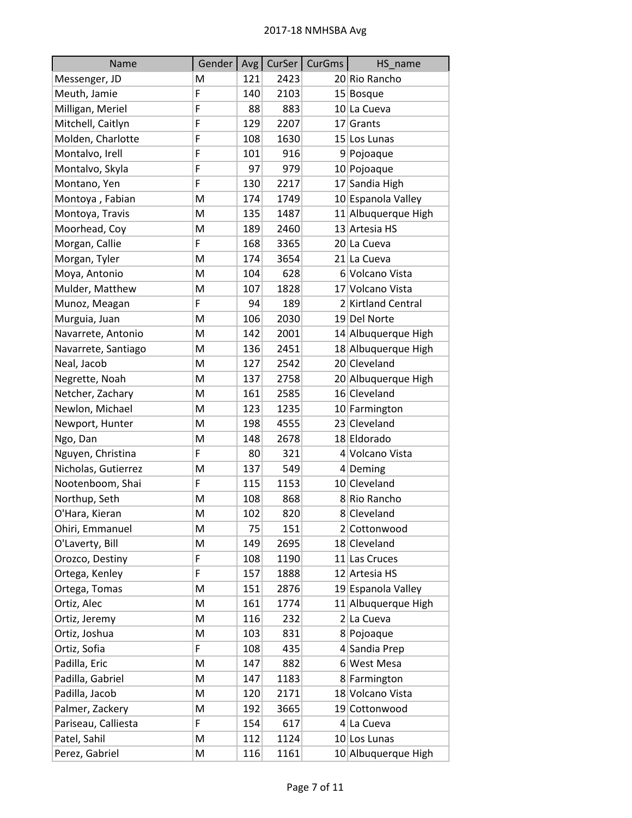| Name                | Gender | Avg <sub>l</sub> | CurSer | CurGms | HS_name             |
|---------------------|--------|------------------|--------|--------|---------------------|
| Messenger, JD       | M      | 121              | 2423   |        | 20 Rio Rancho       |
| Meuth, Jamie        | F      | 140              | 2103   |        | 15 Bosque           |
| Milligan, Meriel    | F      | 88               | 883    |        | 10 La Cueva         |
| Mitchell, Caitlyn   | F      | 129              | 2207   |        | 17 Grants           |
| Molden, Charlotte   | F      | 108              | 1630   |        | 15 Los Lunas        |
| Montalvo, Irell     | F      | 101              | 916    |        | 9 Pojoaque          |
| Montalvo, Skyla     | F      | 97               | 979    |        | 10 Pojoaque         |
| Montano, Yen        | F      | 130              | 2217   |        | 17 Sandia High      |
| Montoya, Fabian     | M      | 174              | 1749   |        | 10 Espanola Valley  |
| Montoya, Travis     | M      | 135              | 1487   |        | 11 Albuquerque High |
| Moorhead, Coy       | M      | 189              | 2460   |        | 13 Artesia HS       |
| Morgan, Callie      | F      | 168              | 3365   |        | 20 La Cueva         |
| Morgan, Tyler       | M      | 174              | 3654   |        | 21 La Cueva         |
| Moya, Antonio       | M      | 104              | 628    |        | 6 Volcano Vista     |
| Mulder, Matthew     | M      | 107              | 1828   |        | 17 Volcano Vista    |
| Munoz, Meagan       | F      | 94               | 189    |        | 2 Kirtland Central  |
| Murguia, Juan       | M      | 106              | 2030   |        | 19 Del Norte        |
| Navarrete, Antonio  | M      | 142              | 2001   |        | 14 Albuquerque High |
| Navarrete, Santiago | M      | 136              | 2451   |        | 18 Albuquerque High |
| Neal, Jacob         | M      | 127              | 2542   |        | 20 Cleveland        |
| Negrette, Noah      | M      | 137              | 2758   |        | 20 Albuquerque High |
| Netcher, Zachary    | Μ      | 161              | 2585   |        | 16 Cleveland        |
| Newlon, Michael     | M      | 123              | 1235   |        | 10 Farmington       |
| Newport, Hunter     | M      | 198              | 4555   |        | 23 Cleveland        |
| Ngo, Dan            | M      | 148              | 2678   |        | 18 Eldorado         |
| Nguyen, Christina   | F      | 80               | 321    |        | 4 Volcano Vista     |
| Nicholas, Gutierrez | M      | 137              | 549    |        | 4 Deming            |
| Nootenboom, Shai    | F      | 115              | 1153   |        | 10 Cleveland        |
| Northup, Seth       | M      | 108              | 868    |        | 8 Rio Rancho        |
| O'Hara, Kieran      | M      | 102              | 820    |        | 8 Cleveland         |
| Ohiri, Emmanuel     | M      | 75               | 151    |        | 2 Cottonwood        |
| O'Laverty, Bill     | M      | 149              | 2695   |        | 18 Cleveland        |
| Orozco, Destiny     | F      | 108              | 1190   |        | 11 Las Cruces       |
| Ortega, Kenley      | F      | 157              | 1888   |        | 12 Artesia HS       |
| Ortega, Tomas       | M      | 151              | 2876   |        | 19 Espanola Valley  |
| Ortiz, Alec         | Μ      | 161              | 1774   |        | 11 Albuquerque High |
| Ortiz, Jeremy       | M      | 116              | 232    |        | 2 La Cueva          |
| Ortiz, Joshua       | M      | 103              | 831    |        | 8 Pojoaque          |
| Ortiz, Sofia        | F      | 108              | 435    |        | 4 Sandia Prep       |
| Padilla, Eric       | M      | 147              | 882    |        | 6 West Mesa         |
| Padilla, Gabriel    | M      | 147              | 1183   |        | 8 Farmington        |
| Padilla, Jacob      | M      | 120              | 2171   |        | 18 Volcano Vista    |
| Palmer, Zackery     | Μ      | 192              | 3665   |        | 19 Cottonwood       |
| Pariseau, Calliesta | F      | 154              | 617    |        | 4 La Cueva          |
| Patel, Sahil        | M      | 112              | 1124   |        | 10 Los Lunas        |
| Perez, Gabriel      | M      | 116              | 1161   |        | 10 Albuquerque High |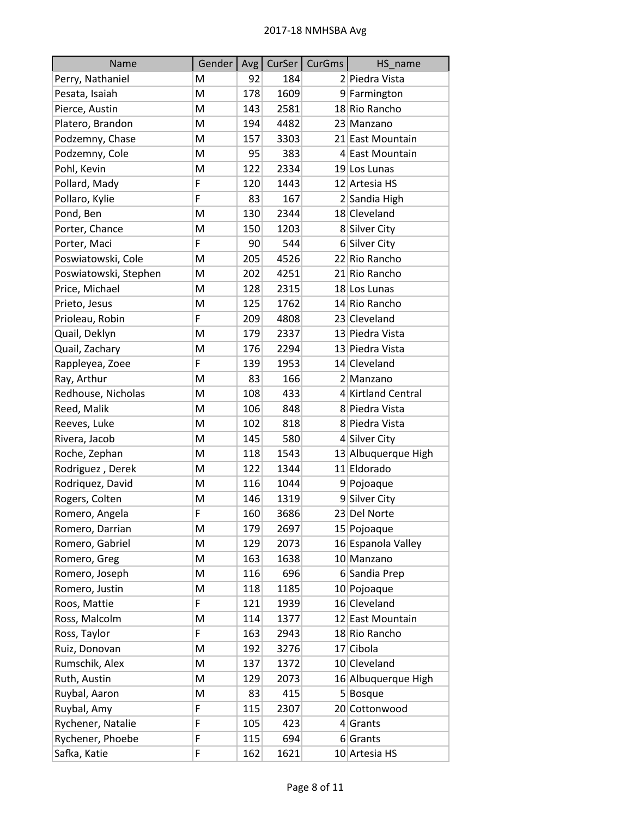| Name                  | Gender   Avg |     |      | CurSer   CurGms | HS_name             |
|-----------------------|--------------|-----|------|-----------------|---------------------|
| Perry, Nathaniel      | M            | 92  | 184  |                 | 2 Piedra Vista      |
| Pesata, Isaiah        | M            | 178 | 1609 |                 | 9 Farmington        |
| Pierce, Austin        | M            | 143 | 2581 |                 | 18 Rio Rancho       |
| Platero, Brandon      | M            | 194 | 4482 |                 | 23 Manzano          |
| Podzemny, Chase       | M            | 157 | 3303 |                 | 21 East Mountain    |
| Podzemny, Cole        | M            | 95  | 383  |                 | 4 East Mountain     |
| Pohl, Kevin           | M            | 122 | 2334 |                 | 19 Los Lunas        |
| Pollard, Mady         | F            | 120 | 1443 |                 | 12 Artesia HS       |
| Pollaro, Kylie        | F            | 83  | 167  |                 | 2 Sandia High       |
| Pond, Ben             | M            | 130 | 2344 |                 | 18 Cleveland        |
| Porter, Chance        | M            | 150 | 1203 |                 | 8 Silver City       |
| Porter, Maci          | F            | 90  | 544  |                 | 6 Silver City       |
| Poswiatowski, Cole    | M            | 205 | 4526 |                 | 22 Rio Rancho       |
| Poswiatowski, Stephen | M            | 202 | 4251 |                 | 21 Rio Rancho       |
| Price, Michael        | M            | 128 | 2315 |                 | 18 Los Lunas        |
| Prieto, Jesus         | M            | 125 | 1762 |                 | 14 Rio Rancho       |
| Prioleau, Robin       | F            | 209 | 4808 |                 | 23 Cleveland        |
| Quail, Deklyn         | M            | 179 | 2337 |                 | 13 Piedra Vista     |
| Quail, Zachary        | M            | 176 | 2294 |                 | 13 Piedra Vista     |
| Rappleyea, Zoee       | F            | 139 | 1953 |                 | 14 Cleveland        |
| Ray, Arthur           | M            | 83  | 166  |                 | 2 Manzano           |
| Redhouse, Nicholas    | M            | 108 | 433  |                 | 4 Kirtland Central  |
| Reed, Malik           | M            | 106 | 848  |                 | 8 Piedra Vista      |
| Reeves, Luke          | M            | 102 | 818  |                 | 8 Piedra Vista      |
| Rivera, Jacob         | M            | 145 | 580  |                 | 4 Silver City       |
| Roche, Zephan         | M            | 118 | 1543 |                 | 13 Albuquerque High |
| Rodriguez, Derek      | M            | 122 | 1344 |                 | 11 Eldorado         |
| Rodriquez, David      | M            | 116 | 1044 |                 | 9 Pojoaque          |
| Rogers, Colten        | M            | 146 | 1319 |                 | 9 Silver City       |
| Romero, Angela        | F            | 160 | 3686 |                 | 23 Del Norte        |
| Romero, Darrian       | M            | 179 | 2697 |                 | 15 Pojoaque         |
| Romero, Gabriel       | M            | 129 | 2073 |                 | 16 Espanola Valley  |
| Romero, Greg          | M            | 163 | 1638 |                 | 10 Manzano          |
| Romero, Joseph        | M            | 116 | 696  |                 | 6 Sandia Prep       |
| Romero, Justin        | M            | 118 | 1185 |                 | 10 Pojoaque         |
| Roos, Mattie          | F            | 121 | 1939 |                 | 16 Cleveland        |
| Ross, Malcolm         | M            | 114 | 1377 |                 | 12 East Mountain    |
| Ross, Taylor          | F            | 163 | 2943 |                 | 18 Rio Rancho       |
| Ruiz, Donovan         | M            | 192 | 3276 |                 | 17 Cibola           |
| Rumschik, Alex        | M            | 137 | 1372 |                 | 10 Cleveland        |
| Ruth, Austin          | M            | 129 | 2073 |                 | 16 Albuquerque High |
| Ruybal, Aaron         | M            | 83  | 415  |                 | $5 $ Bosque         |
| Ruybal, Amy           | F            | 115 | 2307 |                 | 20 Cottonwood       |
| Rychener, Natalie     | F            | 105 | 423  |                 | $4$ Grants          |
| Rychener, Phoebe      | F            | 115 | 694  |                 | $6$ Grants          |
| Safka, Katie          | F            | 162 | 1621 |                 | 10 Artesia HS       |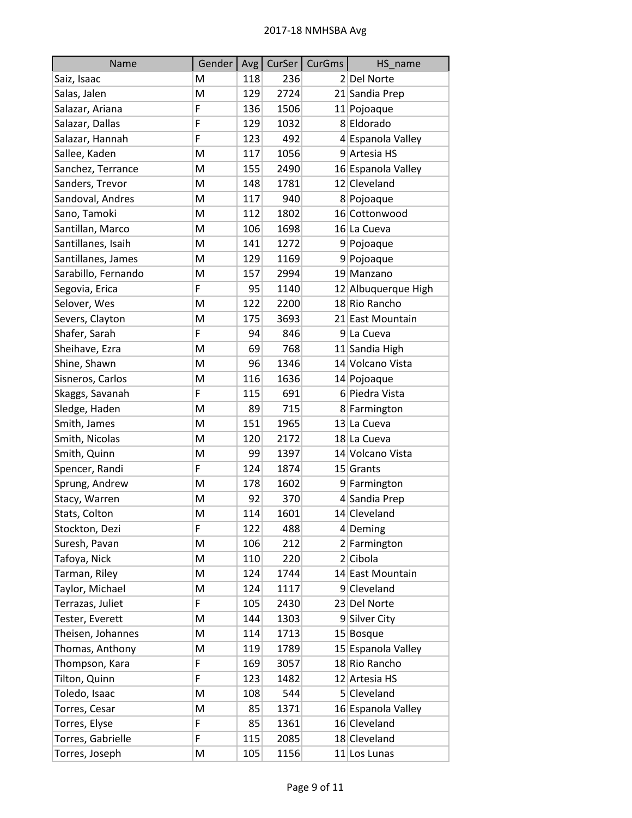| Name                | Gender | Avg <sub>l</sub> |      | CurSer   CurGms | HS_name             |
|---------------------|--------|------------------|------|-----------------|---------------------|
| Saiz, Isaac         | M      | 118              | 236  |                 | 2 Del Norte         |
| Salas, Jalen        | M      | 129              | 2724 |                 | 21 Sandia Prep      |
| Salazar, Ariana     | F      | 136              | 1506 |                 | 11 Pojoaque         |
| Salazar, Dallas     | F      | 129              | 1032 |                 | 8 Eldorado          |
| Salazar, Hannah     | F      | 123              | 492  |                 | 4 Espanola Valley   |
| Sallee, Kaden       | M      | 117              | 1056 |                 | 9 Artesia HS        |
| Sanchez, Terrance   | M      | 155              | 2490 |                 | 16 Espanola Valley  |
| Sanders, Trevor     | M      | 148              | 1781 |                 | 12 Cleveland        |
| Sandoval, Andres    | M      | 117              | 940  |                 | 8 Pojoaque          |
| Sano, Tamoki        | M      | 112              | 1802 |                 | 16 Cottonwood       |
| Santillan, Marco    | M      | 106              | 1698 |                 | 16 La Cueva         |
| Santillanes, Isaih  | M      | 141              | 1272 |                 | 9 Pojoaque          |
| Santillanes, James  | M      | 129              | 1169 |                 | 9 Pojoaque          |
| Sarabillo, Fernando | M      | 157              | 2994 |                 | 19 Manzano          |
| Segovia, Erica      | F      | 95               | 1140 |                 | 12 Albuquerque High |
| Selover, Wes        | M      | 122              | 2200 |                 | 18 Rio Rancho       |
| Severs, Clayton     | M      | 175              | 3693 |                 | 21 East Mountain    |
| Shafer, Sarah       | F      | 94               | 846  |                 | 9 La Cueva          |
| Sheihave, Ezra      | M      | 69               | 768  |                 | 11 Sandia High      |
| Shine, Shawn        | M      | 96               | 1346 |                 | 14 Volcano Vista    |
| Sisneros, Carlos    | M      | 116              | 1636 |                 | 14 Pojoaque         |
| Skaggs, Savanah     | F      | 115              | 691  |                 | 6 Piedra Vista      |
| Sledge, Haden       | M      | 89               | 715  |                 | 8 Farmington        |
| Smith, James        | M      | 151              | 1965 |                 | 13 La Cueva         |
| Smith, Nicolas      | M      | 120              | 2172 |                 | 18 La Cueva         |
| Smith, Quinn        | M      | 99               | 1397 |                 | 14 Volcano Vista    |
| Spencer, Randi      | F      | 124              | 1874 |                 | $15$ Grants         |
| Sprung, Andrew      | M      | 178              | 1602 |                 | 9 Farmington        |
| Stacy, Warren       | M      | 92               | 370  |                 | 4 Sandia Prep       |
| Stats, Colton       | M      | 114              | 1601 |                 | 14 Cleveland        |
| Stockton, Dezi      | F      | 122              | 488  |                 | 4 Deming            |
| Suresh, Pavan       | M      | 106              | 212  |                 | 2 Farmington        |
| Tafoya, Nick        | M      | 110              | 220  |                 | $2$ Cibola          |
| Tarman, Riley       | M      | 124              | 1744 |                 | 14 East Mountain    |
| Taylor, Michael     | M      | 124              | 1117 |                 | 9 Cleveland         |
| Terrazas, Juliet    | F      | 105              | 2430 |                 | 23 Del Norte        |
| Tester, Everett     | M      | 144              | 1303 |                 | 9 Silver City       |
| Theisen, Johannes   | M      | 114              | 1713 |                 | 15 Bosque           |
| Thomas, Anthony     | M      | 119              | 1789 |                 | 15 Espanola Valley  |
| Thompson, Kara      | F      | 169              | 3057 |                 | 18 Rio Rancho       |
| Tilton, Quinn       | F      | 123              | 1482 |                 | 12 Artesia HS       |
| Toledo, Isaac       | M      | 108              | 544  |                 | 5 Cleveland         |
| Torres, Cesar       | M      | 85               | 1371 |                 | 16 Espanola Valley  |
| Torres, Elyse       | F      | 85               | 1361 |                 | 16 Cleveland        |
| Torres, Gabrielle   | F      | 115              | 2085 |                 | 18 Cleveland        |
| Torres, Joseph      | M      | 105              | 1156 |                 | $11$ Los Lunas      |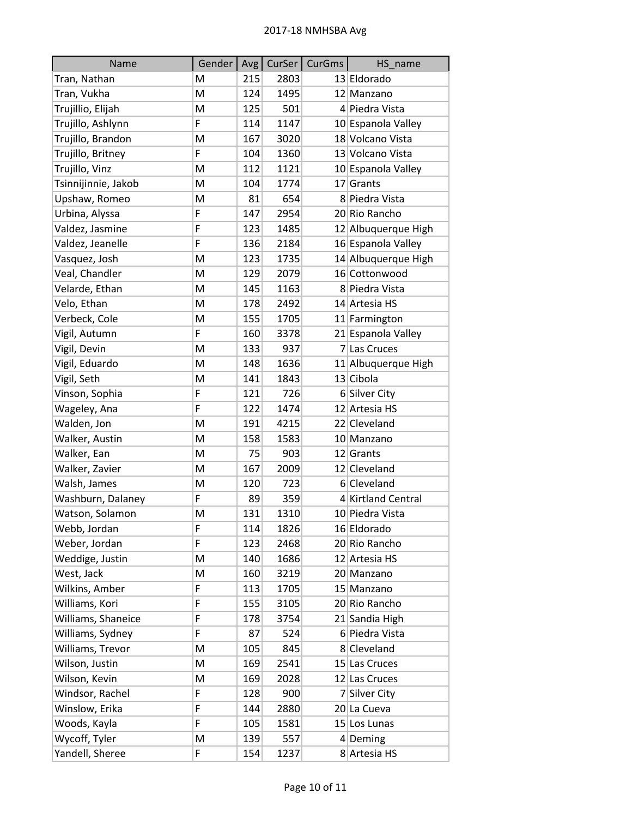| Name                | Gender | Avg <sub>l</sub> |      | CurSer   CurGms | HS name             |
|---------------------|--------|------------------|------|-----------------|---------------------|
| Tran, Nathan        | M      | 215              | 2803 |                 | 13 Eldorado         |
| Tran, Vukha         | M      | 124              | 1495 |                 | 12 Manzano          |
| Trujillio, Elijah   | M      | 125              | 501  |                 | 4 Piedra Vista      |
| Trujillo, Ashlynn   | F      | 114              | 1147 |                 | 10 Espanola Valley  |
| Trujillo, Brandon   | M      | 167              | 3020 |                 | 18 Volcano Vista    |
| Trujillo, Britney   | F      | 104              | 1360 |                 | 13 Volcano Vista    |
| Trujillo, Vinz      | M      | 112              | 1121 |                 | 10 Espanola Valley  |
| Tsinnijinnie, Jakob | M      | 104              | 1774 |                 | $17$ Grants         |
| Upshaw, Romeo       | M      | 81               | 654  |                 | 8 Piedra Vista      |
| Urbina, Alyssa      | F      | 147              | 2954 |                 | 20 Rio Rancho       |
| Valdez, Jasmine     | F      | 123              | 1485 |                 | 12 Albuquerque High |
| Valdez, Jeanelle    | F      | 136              | 2184 |                 | 16 Espanola Valley  |
| Vasquez, Josh       | M      | 123              | 1735 |                 | 14 Albuquerque High |
| Veal, Chandler      | M      | 129              | 2079 |                 | 16 Cottonwood       |
| Velarde, Ethan      | M      | 145              | 1163 |                 | 8 Piedra Vista      |
| Velo, Ethan         | M      | 178              | 2492 |                 | 14 Artesia HS       |
| Verbeck, Cole       | M      | 155              | 1705 |                 | 11 Farmington       |
| Vigil, Autumn       | F      | 160              | 3378 |                 | 21 Espanola Valley  |
| Vigil, Devin        | M      | 133              | 937  |                 | 7 Las Cruces        |
| Vigil, Eduardo      | M      | 148              | 1636 |                 | 11 Albuquerque High |
| Vigil, Seth         | M      | 141              | 1843 |                 | 13 Cibola           |
| Vinson, Sophia      | F      | 121              | 726  |                 | 6 Silver City       |
| Wageley, Ana        | F      | 122              | 1474 |                 | 12 Artesia HS       |
| Walden, Jon         | M      | 191              | 4215 |                 | 22 Cleveland        |
| Walker, Austin      | M      | 158              | 1583 |                 | 10 Manzano          |
| Walker, Ean         | M      | 75               | 903  |                 | $12$ Grants         |
| Walker, Zavier      | M      | 167              | 2009 |                 | 12 Cleveland        |
| Walsh, James        | M      | 120              | 723  |                 | 6 Cleveland         |
| Washburn, Dalaney   | F      | 89               | 359  |                 | 4 Kirtland Central  |
| Watson, Solamon     | M      | 131              | 1310 |                 | 10 Piedra Vista     |
| Webb, Jordan        | F      | 114              | 1826 |                 | 16 Eldorado         |
| Weber, Jordan       | F      | 123              | 2468 |                 | 20 Rio Rancho       |
| Weddige, Justin     | M      | 140              | 1686 |                 | 12 Artesia HS       |
| West, Jack          | M      | 160              | 3219 |                 | 20 Manzano          |
| Wilkins, Amber      | F      | 113              | 1705 |                 | 15 Manzano          |
| Williams, Kori      | F      | 155              | 3105 |                 | 20 Rio Rancho       |
| Williams, Shaneice  | F      | 178              | 3754 |                 | 21 Sandia High      |
| Williams, Sydney    | F      | 87               | 524  |                 | 6 Piedra Vista      |
| Williams, Trevor    | M      | 105              | 845  |                 | 8 Cleveland         |
| Wilson, Justin      | M      | 169              | 2541 |                 | 15 Las Cruces       |
| Wilson, Kevin       | M      | 169              | 2028 |                 | 12 Las Cruces       |
| Windsor, Rachel     | F      | 128              | 900  |                 | 7 Silver City       |
| Winslow, Erika      | F      | 144              | 2880 |                 | 20 La Cueva         |
| Woods, Kayla        | F      | 105              | 1581 |                 | 15 Los Lunas        |
| Wycoff, Tyler       | M      | 139              | 557  |                 | $4$ Deming          |
| Yandell, Sheree     | F      | 154              | 1237 |                 | 8 Artesia HS        |